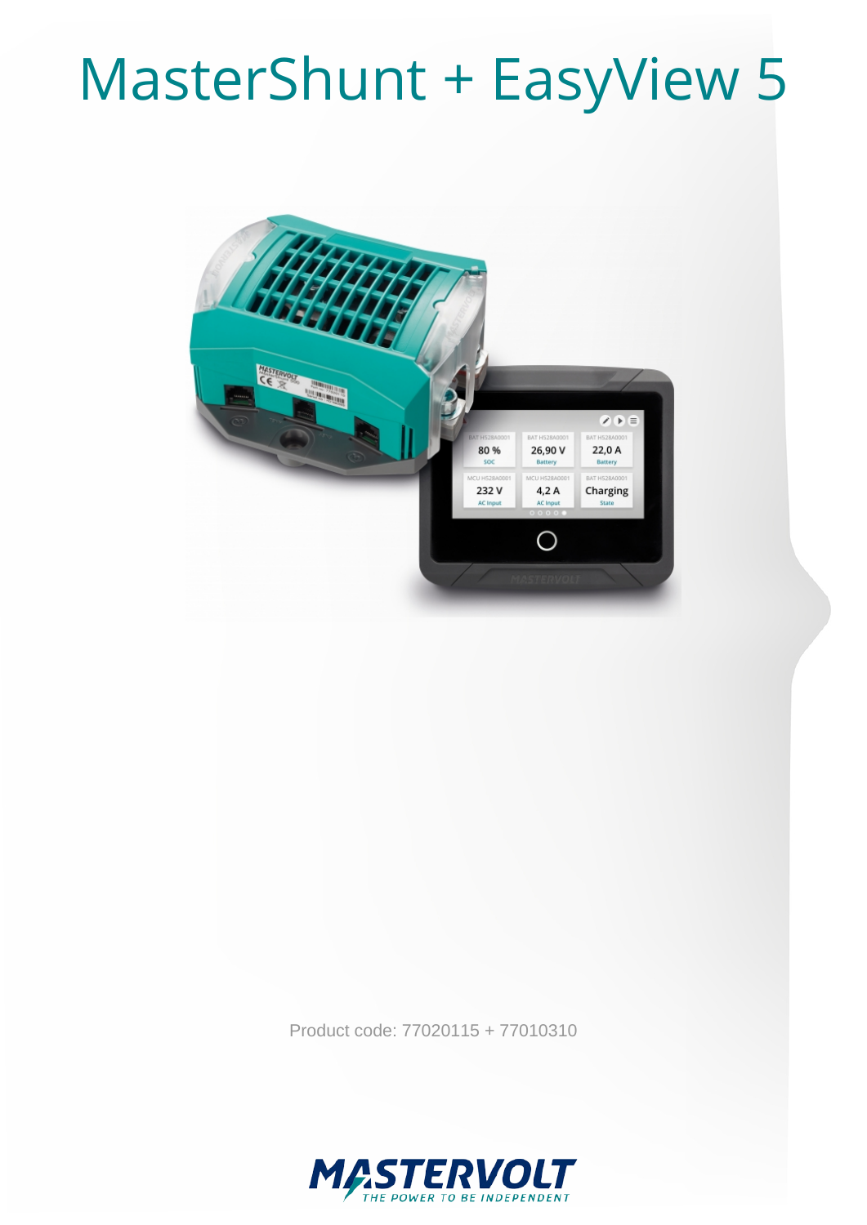## MasterShunt + EasyView 5



Product code: 77020115 + 77010310

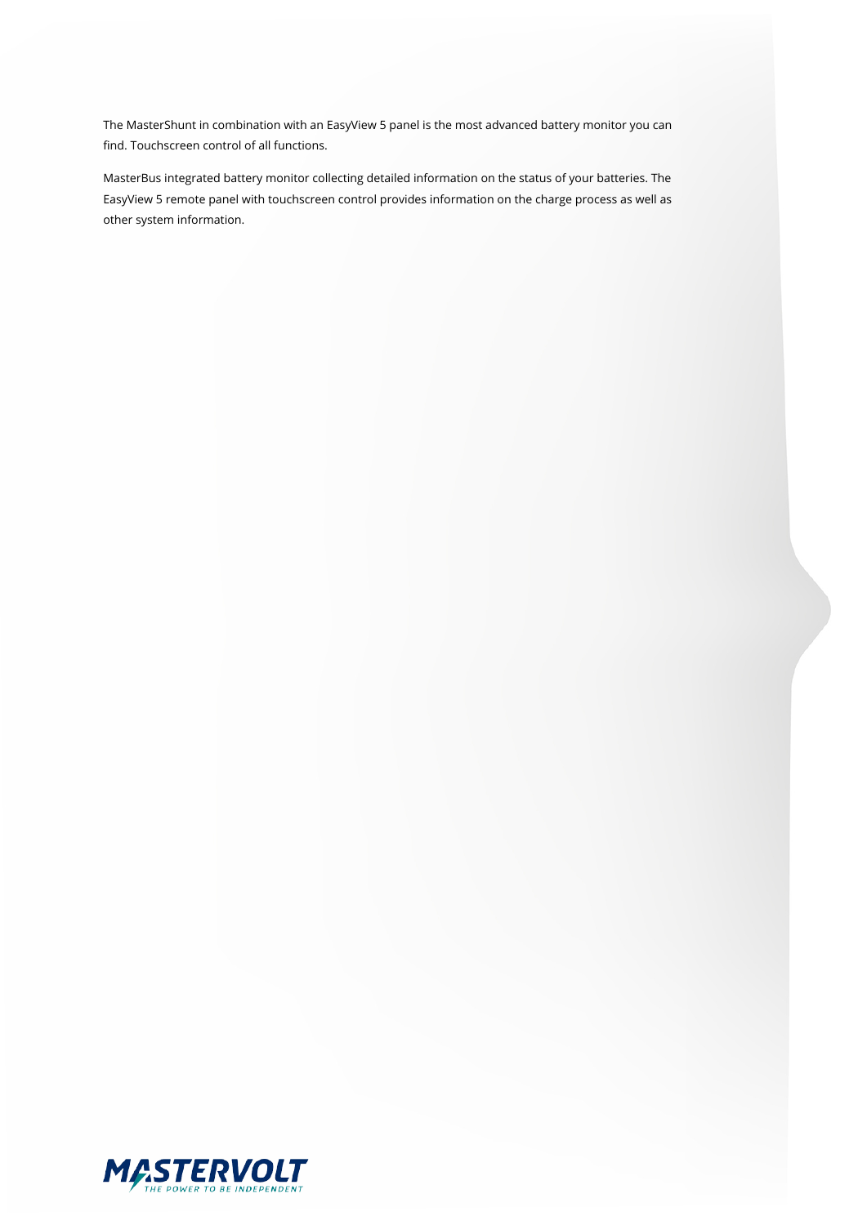The MasterShunt in combination with an EasyView 5 panel is the most advanced battery monitor you can find. Touchscreen control of all functions.

MasterBus integrated battery monitor collecting detailed information on the status of your batteries. The EasyView 5 remote panel with touchscreen control provides information on the charge process as well as other system information.